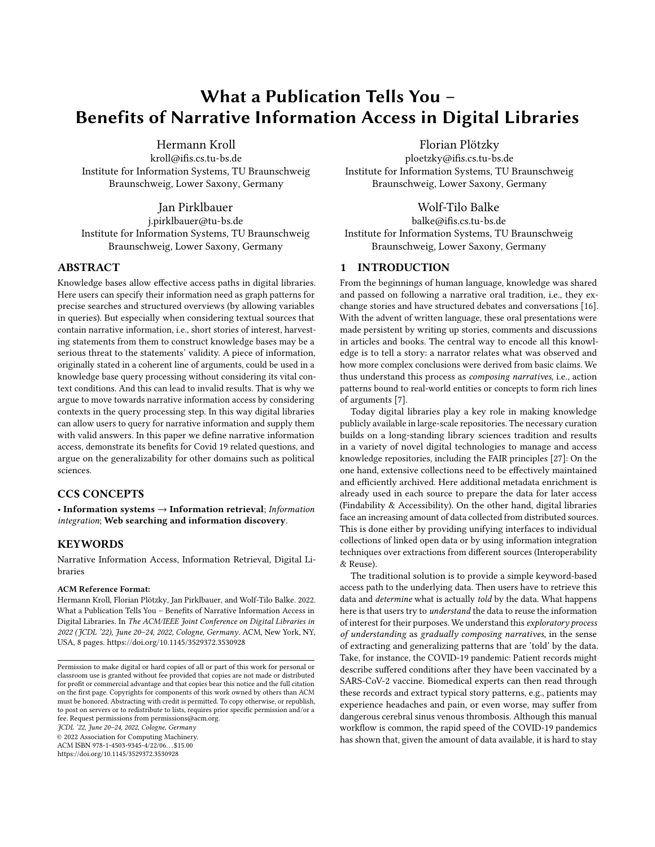# What a Publication Tells You – Benefits of Narrative Information Access in Digital Libraries

[Hermann Kroll](https://orcid.org/0000-0001-9887-9276)

kroll@ifis.cs.tu-bs.de Institute for Information Systems, TU Braunschweig Braunschweig, Lower Saxony, Germany

Jan Pirklbauer j.pirklbauer@tu-bs.de Institute for Information Systems, TU Braunschweig Braunschweig, Lower Saxony, Germany

## ABSTRACT

Knowledge bases allow effective access paths in digital libraries. Here users can specify their information need as graph patterns for precise searches and structured overviews (by allowing variables in queries). But especially when considering textual sources that contain narrative information, i.e., short stories of interest, harvesting statements from them to construct knowledge bases may be a serious threat to the statements' validity. A piece of information, originally stated in a coherent line of arguments, could be used in a knowledge base query processing without considering its vital context conditions. And this can lead to invalid results. That is why we argue to move towards narrative information access by considering contexts in the query processing step. In this way digital libraries can allow users to query for narrative information and supply them with valid answers. In this paper we define narrative information access, demonstrate its benefits for Covid 19 related questions, and argue on the generalizability for other domains such as political sciences.

## CCS CONCEPTS

• Information systems  $\rightarrow$  Information retrieval; Information integration; Web searching and information discovery.

## **KEYWORDS**

Narrative Information Access, Information Retrieval, Digital Libraries

#### ACM Reference Format:

Hermann Kroll, Florian Plötzky, Jan Pirklbauer, and Wolf-Tilo Balke. 2022. What a Publication Tells You – Benefits of Narrative Information Access in Digital Libraries. In The ACM/IEEE Joint Conference on Digital Libraries in 2022 (JCDL '22), June 20–24, 2022, Cologne, Germany. ACM, New York, NY, USA, [8](#page-7-0) pages.<https://doi.org/10.1145/3529372.3530928>

JCDL '22, June 20–24, 2022, Cologne, Germany

© 2022 Association for Computing Machinery.

ACM ISBN 978-1-4503-9345-4/22/06. . . \$15.00 <https://doi.org/10.1145/3529372.3530928>

[Florian Plötzky](https://orcid.org/0000-0002-4112-3192)

ploetzky@ifis.cs.tu-bs.de Institute for Information Systems, TU Braunschweig Braunschweig, Lower Saxony, Germany

# [Wolf-Tilo Balke](https://orcid.org/0000-0002-5443-1215)

balke@ifis.cs.tu-bs.de Institute for Information Systems, TU Braunschweig Braunschweig, Lower Saxony, Germany

## 1 INTRODUCTION

From the beginnings of human language, knowledge was shared and passed on following a narrative oral tradition, i.e., they exchange stories and have structured debates and conversations [\[16\]](#page-7-1). With the advent of written language, these oral presentations were made persistent by writing up stories, comments and discussions in articles and books. The central way to encode all this knowledge is to tell a story: a narrator relates what was observed and how more complex conclusions were derived from basic claims. We thus understand this process as composing narratives, i.e., action patterns bound to real-world entities or concepts to form rich lines of arguments [\[7\]](#page-7-2).

Today digital libraries play a key role in making knowledge publicly available in large-scale repositories. The necessary curation builds on a long-standing library sciences tradition and results in a variety of novel digital technologies to manage and access knowledge repositories, including the FAIR principles [\[27\]](#page-7-3): On the one hand, extensive collections need to be effectively maintained and efficiently archived. Here additional metadata enrichment is already used in each source to prepare the data for later access (Findability & Accessibility). On the other hand, digital libraries face an increasing amount of data collected from distributed sources. This is done either by providing unifying interfaces to individual collections of linked open data or by using information integration techniques over extractions from different sources (Interoperability & Reuse).

The traditional solution is to provide a simple keyword-based access path to the underlying data. Then users have to retrieve this data and determine what is actually told by the data. What happens here is that users try to understand the data to reuse the information of interest for their purposes. We understand this exploratory process of understanding as gradually composing narratives, in the sense of extracting and generalizing patterns that are 'told' by the data. Take, for instance, the COVID-19 pandemic: Patient records might describe suffered conditions after they have been vaccinated by a SARS-CoV-2 vaccine. Biomedical experts can then read through these records and extract typical story patterns, e.g., patients may experience headaches and pain, or even worse, may suffer from dangerous cerebral sinus venous thrombosis. Although this manual workflow is common, the rapid speed of the COVID-19 pandemics has shown that, given the amount of data available, it is hard to stay

Permission to make digital or hard copies of all or part of this work for personal or classroom use is granted without fee provided that copies are not made or distributed for profit or commercial advantage and that copies bear this notice and the full citation on the first page. Copyrights for components of this work owned by others than ACM must be honored. Abstracting with credit is permitted. To copy otherwise, or republish, to post on servers or to redistribute to lists, requires prior specific permission and/or a fee. Request permissions from permissions@acm.org.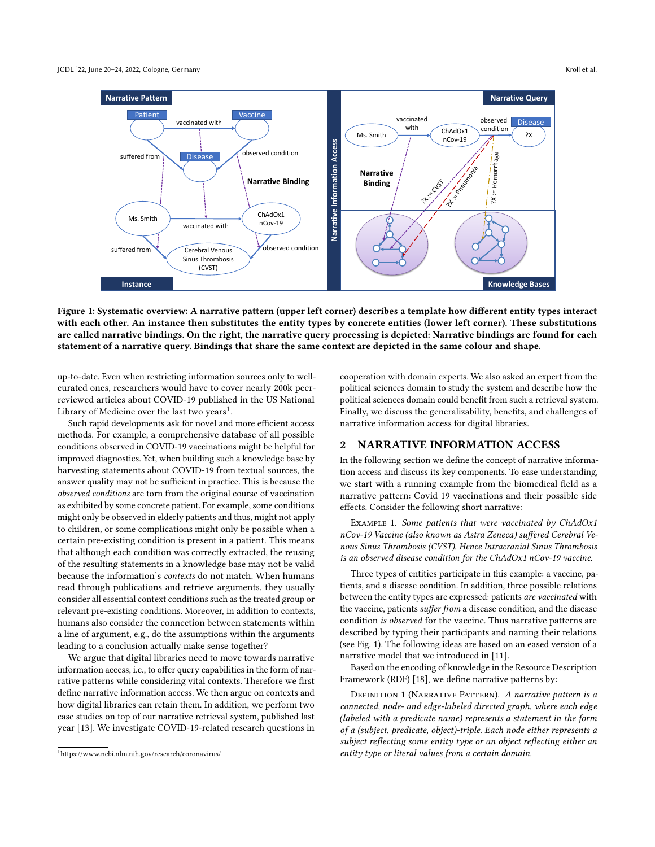<span id="page-1-1"></span>

Figure 1: Systematic overview: A narrative pattern (upper left corner) describes a template how different entity types interact with each other. An instance then substitutes the entity types by concrete entities (lower left corner). These substitutions are called narrative bindings. On the right, the narrative query processing is depicted: Narrative bindings are found for each statement of a narrative query. Bindings that share the same context are depicted in the same colour and shape.

up-to-date. Even when restricting information sources only to wellcurated ones, researchers would have to cover nearly 200k peerreviewed articles about COVID-19 published in the US National Library of Medicine over the last two years $^1$  $^1$ .

Such rapid developments ask for novel and more efficient access methods. For example, a comprehensive database of all possible conditions observed in COVID-19 vaccinations might be helpful for improved diagnostics. Yet, when building such a knowledge base by harvesting statements about COVID-19 from textual sources, the answer quality may not be sufficient in practice. This is because the observed conditions are torn from the original course of vaccination as exhibited by some concrete patient. For example, some conditions might only be observed in elderly patients and thus, might not apply to children, or some complications might only be possible when a certain pre-existing condition is present in a patient. This means that although each condition was correctly extracted, the reusing of the resulting statements in a knowledge base may not be valid because the information's contexts do not match. When humans read through publications and retrieve arguments, they usually consider all essential context conditions such as the treated group or relevant pre-existing conditions. Moreover, in addition to contexts, humans also consider the connection between statements within a line of argument, e.g., do the assumptions within the arguments leading to a conclusion actually make sense together?

We argue that digital libraries need to move towards narrative information access, i.e., to offer query capabilities in the form of narrative patterns while considering vital contexts. Therefore we first define narrative information access. We then argue on contexts and how digital libraries can retain them. In addition, we perform two case studies on top of our narrative retrieval system, published last year [\[13\]](#page-7-4). We investigate COVID-19-related research questions in

cooperation with domain experts. We also asked an expert from the political sciences domain to study the system and describe how the political sciences domain could benefit from such a retrieval system. Finally, we discuss the generalizability, benefits, and challenges of narrative information access for digital libraries.

#### 2 NARRATIVE INFORMATION ACCESS

In the following section we define the concept of narrative information access and discuss its key components. To ease understanding, we start with a running example from the biomedical field as a narrative pattern: Covid 19 vaccinations and their possible side effects. Consider the following short narrative:

EXAMPLE 1. Some patients that were vaccinated by ChAdOx1 nCov-19 Vaccine (also known as Astra Zeneca) suffered Cerebral Venous Sinus Thrombosis (CVST). Hence Intracranial Sinus Thrombosis is an observed disease condition for the ChAdOx1 nCov-19 vaccine.

Three types of entities participate in this example: a vaccine, patients, and a disease condition. In addition, three possible relations between the entity types are expressed: patients are vaccinated with the vaccine, patients suffer from a disease condition, and the disease condition is observed for the vaccine. Thus narrative patterns are described by typing their participants and naming their relations (see Fig. [1\)](#page-1-1). The following ideas are based on an eased version of a narrative model that we introduced in [\[11\]](#page-7-5).

Based on the encoding of knowledge in the Resource Description Framework (RDF) [\[18\]](#page-7-6), we define narrative patterns by:

DEFINITION 1 (NARRATIVE PATTERN). A narrative pattern is a connected, node- and edge-labeled directed graph, where each edge (labeled with a predicate name) represents a statement in the form of a (subject, predicate, object)-triple. Each node either represents a subject reflecting some entity type or an object reflecting either an entity type or literal values from a certain domain.

<span id="page-1-0"></span><sup>1</sup><https://www.ncbi.nlm.nih.gov/research/coronavirus/>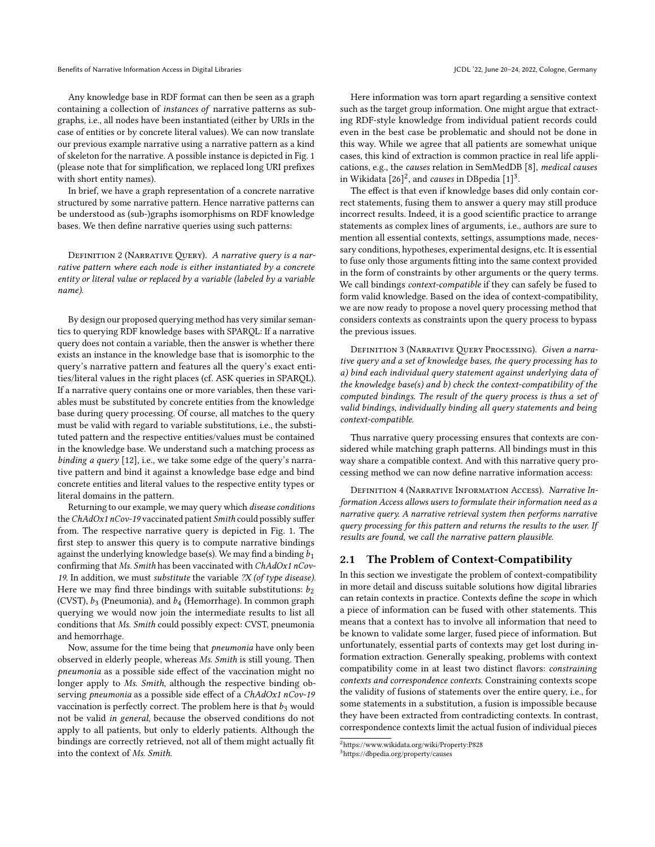Any knowledge base in RDF format can then be seen as a graph containing a collection of instances of narrative patterns as subgraphs, i.e., all nodes have been instantiated (either by URIs in the case of entities or by concrete literal values). We can now translate our previous example narrative using a narrative pattern as a kind of skeleton for the narrative. A possible instance is depicted in Fig. [1](#page-1-1) (please note that for simplification, we replaced long URI prefixes with short entity names).

In brief, we have a graph representation of a concrete narrative structured by some narrative pattern. Hence narrative patterns can be understood as (sub-)graphs isomorphisms on RDF knowledge bases. We then define narrative queries using such patterns:

DEFINITION 2 (NARRATIVE QUERY). A narrative query is a narrative pattern where each node is either instantiated by a concrete entity or literal value or replaced by a variable (labeled by a variable name).

By design our proposed querying method has very similar semantics to querying RDF knowledge bases with SPARQL: If a narrative query does not contain a variable, then the answer is whether there exists an instance in the knowledge base that is isomorphic to the query's narrative pattern and features all the query's exact entities/literal values in the right places (cf. ASK queries in SPARQL). If a narrative query contains one or more variables, then these variables must be substituted by concrete entities from the knowledge base during query processing. Of course, all matches to the query must be valid with regard to variable substitutions, i.e., the substituted pattern and the respective entities/values must be contained in the knowledge base. We understand such a matching process as binding a query  $[12]$ , i.e., we take some edge of the query's narrative pattern and bind it against a knowledge base edge and bind concrete entities and literal values to the respective entity types or literal domains in the pattern.

Returning to our example, we may query which disease conditions the ChAdOx1 nCov-19 vaccinated patient Smith could possibly suffer from. The respective narrative query is depicted in Fig. [1.](#page-1-1) The first step to answer this query is to compute narrative bindings against the underlying knowledge base(s). We may find a binding  $b_1$ confirming that Ms. Smith has been vaccinated with ChAdOx1 nCov-19. In addition, we must substitute the variable  $2X$  (of type disease). Here we may find three bindings with suitable substitutions:  $b_2$ (CVST),  $b_3$  (Pneumonia), and  $b_4$  (Hemorrhage). In common graph querying we would now join the intermediate results to list all conditions that Ms. Smith could possibly expect: CVST, pneumonia and hemorrhage.

Now, assume for the time being that pneumonia have only been observed in elderly people, whereas Ms. Smith is still young. Then pneumonia as a possible side effect of the vaccination might no longer apply to Ms. Smith, although the respective binding observing pneumonia as a possible side effect of a ChAdOx1 nCov-19 vaccination is perfectly correct. The problem here is that  $b_3$  would not be valid in general, because the observed conditions do not apply to all patients, but only to elderly patients. Although the bindings are correctly retrieved, not all of them might actually fit into the context of Ms. Smith.

Here information was torn apart regarding a sensitive context such as the target group information. One might argue that extracting RDF-style knowledge from individual patient records could even in the best case be problematic and should not be done in this way. While we agree that all patients are somewhat unique cases, this kind of extraction is common practice in real life applications, e.g., the causes relation in SemMedDB [\[8\]](#page-7-8), medical causes in Wikidata  $[26]^2$  $[26]^2$  $[26]^2$ , and *causes* in DBpedia  $[1]^3$  $[1]^3$  $[1]^3$ .

The effect is that even if knowledge bases did only contain correct statements, fusing them to answer a query may still produce incorrect results. Indeed, it is a good scientific practice to arrange statements as complex lines of arguments, i.e., authors are sure to mention all essential contexts, settings, assumptions made, necessary conditions, hypotheses, experimental designs, etc. It is essential to fuse only those arguments fitting into the same context provided in the form of constraints by other arguments or the query terms. We call bindings context-compatible if they can safely be fused to form valid knowledge. Based on the idea of context-compatibility, we are now ready to propose a novel query processing method that considers contexts as constraints upon the query process to bypass the previous issues.

DEFINITION 3 (NARRATIVE QUERY PROCESSING). Given a narrative query and a set of knowledge bases, the query processing has to a) bind each individual query statement against underlying data of the knowledge base(s) and b) check the context-compatibility of the computed bindings. The result of the query process is thus a set of valid bindings, individually binding all query statements and being context-compatible.

Thus narrative query processing ensures that contexts are considered while matching graph patterns. All bindings must in this way share a compatible context. And with this narrative query processing method we can now define narrative information access:

Definition 4 (Narrative Information Access). Narrative Information Access allows users to formulate their information need as a narrative query. A narrative retrieval system then performs narrative query processing for this pattern and returns the results to the user. If results are found, we call the narrative pattern plausible.

### 2.1 The Problem of Context-Compatibility

In this section we investigate the problem of context-compatibility in more detail and discuss suitable solutions how digital libraries can retain contexts in practice. Contexts define the scope in which a piece of information can be fused with other statements. This means that a context has to involve all information that need to be known to validate some larger, fused piece of information. But unfortunately, essential parts of contexts may get lost during information extraction. Generally speaking, problems with context compatibility come in at least two distinct flavors: constraining contexts and correspondence contexts. Constraining contexts scope the validity of fusions of statements over the entire query, i.e., for some statements in a substitution, a fusion is impossible because they have been extracted from contradicting contexts. In contrast, correspondence contexts limit the actual fusion of individual pieces

<span id="page-2-0"></span><sup>2</sup><https://www.wikidata.org/wiki/Property:P828>

<span id="page-2-1"></span><sup>3</sup><https://dbpedia.org/property/causes>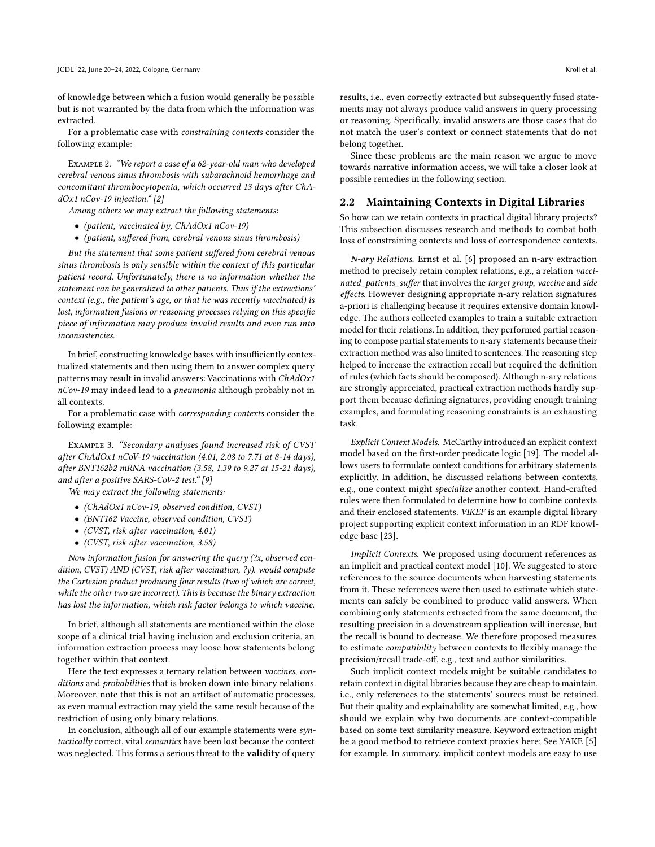of knowledge between which a fusion would generally be possible but is not warranted by the data from which the information was extracted.

For a problematic case with constraining contexts consider the following example:

Example 2. "We report a case of a 62-year-old man who developed cerebral venous sinus thrombosis with subarachnoid hemorrhage and concomitant thrombocytopenia, which occurred 13 days after ChAdOx1 nCov-19 injection." [\[2\]](#page-7-11)

Among others we may extract the following statements:

- (patient, vaccinated by, ChAdOx1 nCov-19)
- (patient, suffered from, cerebral venous sinus thrombosis)

But the statement that some patient suffered from cerebral venous sinus thrombosis is only sensible within the context of this particular patient record. Unfortunately, there is no information whether the statement can be generalized to other patients. Thus if the extractions' context (e.g., the patient's age, or that he was recently vaccinated) is lost, information fusions or reasoning processes relying on this specific piece of information may produce invalid results and even run into inconsistencies.

In brief, constructing knowledge bases with insufficiently contextualized statements and then using them to answer complex query patterns may result in invalid answers: Vaccinations with ChAdOx1 nCov-19 may indeed lead to a pneumonia although probably not in all contexts.

For a problematic case with corresponding contexts consider the following example:

Example 3. "Secondary analyses found increased risk of CVST after ChAdOx1 nCoV-19 vaccination (4.01, 2.08 to 7.71 at 8-14 days), after BNT162b2 mRNA vaccination (3.58, 1.39 to 9.27 at 15-21 days), and after a positive SARS-CoV-2 test." [\[9\]](#page-7-12)

We may extract the following statements:

- (ChAdOx1 nCov-19, observed condition, CVST)
- (BNT162 Vaccine, observed condition, CVST)
- (CVST, risk after vaccination, 4.01)
- (CVST, risk after vaccination, 3.58)

Now information fusion for answering the query (?x, observed condition, CVST) AND (CVST, risk after vaccination, ?y). would compute the Cartesian product producing four results (two of which are correct, while the other two are incorrect). This is because the binary extraction has lost the information, which risk factor belongs to which vaccine.

In brief, although all statements are mentioned within the close scope of a clinical trial having inclusion and exclusion criteria, an information extraction process may loose how statements belong together within that context.

Here the text expresses a ternary relation between vaccines, conditions and probabilities that is broken down into binary relations. Moreover, note that this is not an artifact of automatic processes, as even manual extraction may yield the same result because of the restriction of using only binary relations.

In conclusion, although all of our example statements were syntactically correct, vital semantics have been lost because the context was neglected. This forms a serious threat to the validity of query

results, i.e., even correctly extracted but subsequently fused statements may not always produce valid answers in query processing or reasoning. Specifically, invalid answers are those cases that do not match the user's context or connect statements that do not belong together.

Since these problems are the main reason we argue to move towards narrative information access, we will take a closer look at possible remedies in the following section.

## 2.2 Maintaining Contexts in Digital Libraries

So how can we retain contexts in practical digital library projects? This subsection discusses research and methods to combat both loss of constraining contexts and loss of correspondence contexts.

N-ary Relations. Ernst et al. [\[6\]](#page-7-13) proposed an n-ary extraction method to precisely retain complex relations, e.g., a relation vaccinated\_patients\_suffer that involves the target group, vaccine and side effects. However designing appropriate n-ary relation signatures a-priori is challenging because it requires extensive domain knowledge. The authors collected examples to train a suitable extraction model for their relations. In addition, they performed partial reasoning to compose partial statements to n-ary statements because their extraction method was also limited to sentences. The reasoning step helped to increase the extraction recall but required the definition of rules (which facts should be composed). Although n-ary relations are strongly appreciated, practical extraction methods hardly support them because defining signatures, providing enough training examples, and formulating reasoning constraints is an exhausting task.

Explicit Context Models. McCarthy introduced an explicit context model based on the first-order predicate logic [\[19\]](#page-7-14). The model allows users to formulate context conditions for arbitrary statements explicitly. In addition, he discussed relations between contexts, e.g., one context might specialize another context. Hand-crafted rules were then formulated to determine how to combine contexts and their enclosed statements. VIKEF is an example digital library project supporting explicit context information in an RDF knowledge base [\[23\]](#page-7-15).

Implicit Contexts. We proposed using document references as an implicit and practical context model [\[10\]](#page-7-16). We suggested to store references to the source documents when harvesting statements from it. These references were then used to estimate which statements can safely be combined to produce valid answers. When combining only statements extracted from the same document, the resulting precision in a downstream application will increase, but the recall is bound to decrease. We therefore proposed measures to estimate compatibility between contexts to flexibly manage the precision/recall trade-off, e.g., text and author similarities.

Such implicit context models might be suitable candidates to retain context in digital libraries because they are cheap to maintain, i.e., only references to the statements' sources must be retained. But their quality and explainability are somewhat limited, e.g., how should we explain why two documents are context-compatible based on some text similarity measure. Keyword extraction might be a good method to retrieve context proxies here; See YAKE [\[5\]](#page-7-17) for example. In summary, implicit context models are easy to use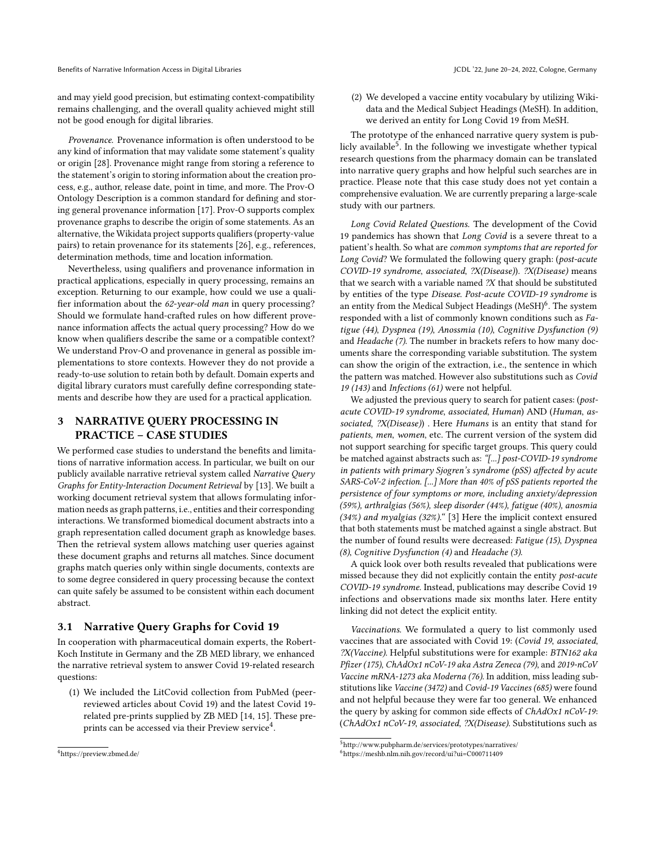and may yield good precision, but estimating context-compatibility remains challenging, and the overall quality achieved might still not be good enough for digital libraries.

Provenance. Provenance information is often understood to be any kind of information that may validate some statement's quality or origin [\[28\]](#page-7-18). Provenance might range from storing a reference to the statement's origin to storing information about the creation process, e.g., author, release date, point in time, and more. The Prov-O Ontology Description is a common standard for defining and storing general provenance information [\[17\]](#page-7-19). Prov-O supports complex provenance graphs to describe the origin of some statements. As an alternative, the Wikidata project supports qualifiers (property-value pairs) to retain provenance for its statements [\[26\]](#page-7-9), e.g., references, determination methods, time and location information.

Nevertheless, using qualifiers and provenance information in practical applications, especially in query processing, remains an exception. Returning to our example, how could we use a qualifier information about the 62-year-old man in query processing? Should we formulate hand-crafted rules on how different provenance information affects the actual query processing? How do we know when qualifiers describe the same or a compatible context? We understand Prov-O and provenance in general as possible implementations to store contexts. However they do not provide a ready-to-use solution to retain both by default. Domain experts and digital library curators must carefully define corresponding statements and describe how they are used for a practical application.

## 3 NARRATIVE QUERY PROCESSING IN PRACTICE – CASE STUDIES

We performed case studies to understand the benefits and limitations of narrative information access. In particular, we built on our publicly available narrative retrieval system called Narrative Query Graphs for Entity-Interaction Document Retrieval by [\[13\]](#page-7-4). We built a working document retrieval system that allows formulating information needs as graph patterns, i.e., entities and their corresponding interactions. We transformed biomedical document abstracts into a graph representation called document graph as knowledge bases. Then the retrieval system allows matching user queries against these document graphs and returns all matches. Since document graphs match queries only within single documents, contexts are to some degree considered in query processing because the context can quite safely be assumed to be consistent within each document abstract.

#### 3.1 Narrative Query Graphs for Covid 19

In cooperation with pharmaceutical domain experts, the Robert-Koch Institute in Germany and the ZB MED library, we enhanced the narrative retrieval system to answer Covid 19-related research questions:

(1) We included the LitCovid collection from PubMed (peerreviewed articles about Covid 19) and the latest Covid 19 related pre-prints supplied by ZB MED [\[14,](#page-7-20) [15\]](#page-7-21). These pre-prints can be accessed via their Preview service<sup>[4](#page-4-0)</sup>.

(2) We developed a vaccine entity vocabulary by utilizing Wikidata and the Medical Subject Headings (MeSH). In addition, we derived an entity for Long Covid 19 from MeSH.

The prototype of the enhanced narrative query system is pub-licly available<sup>[5](#page-4-1)</sup>. In the following we investigate whether typical research questions from the pharmacy domain can be translated into narrative query graphs and how helpful such searches are in practice. Please note that this case study does not yet contain a comprehensive evaluation. We are currently preparing a large-scale study with our partners.

Long Covid Related Questions. The development of the Covid 19 pandemics has shown that Long Covid is a severe threat to a patient's health. So what are common symptoms that are reported for Long Covid? We formulated the following query graph: (post-acute COVID-19 syndrome, associated, ?X(Disease)). ?X(Disease) means that we search with a variable named ?X that should be substituted by entities of the type Disease. Post-acute COVID-19 syndrome is an entity from the Medical Subject Headings (MeSH)<sup>[6](#page-4-2)</sup>. The system responded with a list of commonly known conditions such as Fatigue (44), Dyspnea (19), Anossmia (10), Cognitive Dysfunction (9) and Headache (7). The number in brackets refers to how many documents share the corresponding variable substitution. The system can show the origin of the extraction, i.e., the sentence in which the pattern was matched. However also substitutions such as Covid 19 (143) and Infections (61) were not helpful.

We adjusted the previous query to search for patient cases: (postacute COVID-19 syndrome, associated, Human) AND (Human, associated, ?X(Disease)) . Here Humans is an entity that stand for patients, men, women, etc. The current version of the system did not support searching for specific target groups. This query could be matched against abstracts such as: "[...] post-COVID-19 syndrome in patients with primary Sjogren's syndrome (pSS) affected by acute SARS-CoV-2 infection. [...] More than 40% of pSS patients reported the persistence of four symptoms or more, including anxiety/depression (59%), arthralgias (56%), sleep disorder (44%), fatigue (40%), anosmia (34%) and myalgias (32%)." [\[3\]](#page-7-22) Here the implicit context ensured that both statements must be matched against a single abstract. But the number of found results were decreased: Fatigue (15), Dyspnea (8), Cognitive Dysfunction (4) and Headache (3).

A quick look over both results revealed that publications were missed because they did not explicitly contain the entity post-acute COVID-19 syndrome. Instead, publications may describe Covid 19 infections and observations made six months later. Here entity linking did not detect the explicit entity.

Vaccinations. We formulated a query to list commonly used vaccines that are associated with Covid 19: (Covid 19, associated, ?X(Vaccine). Helpful substitutions were for example: BTN162 aka Pfizer (175), ChAdOx1 nCoV-19 aka Astra Zeneca (79), and 2019-nCoV Vaccine mRNA-1273 aka Moderna (76). In addition, miss leading substitutions like Vaccine (3472) and Covid-19 Vaccines (685) were found and not helpful because they were far too general. We enhanced the query by asking for common side effects of ChAdOx1 nCoV-19: (ChAdOx1 nCoV-19, associated, ?X(Disease). Substitutions such as

<span id="page-4-0"></span><sup>4</sup><https://preview.zbmed.de/>

<span id="page-4-1"></span> $5$ <http://www.pubpharm.de/services/prototypes/narratives/>

<span id="page-4-2"></span><sup>6</sup><https://meshb.nlm.nih.gov/record/ui?ui=C000711409>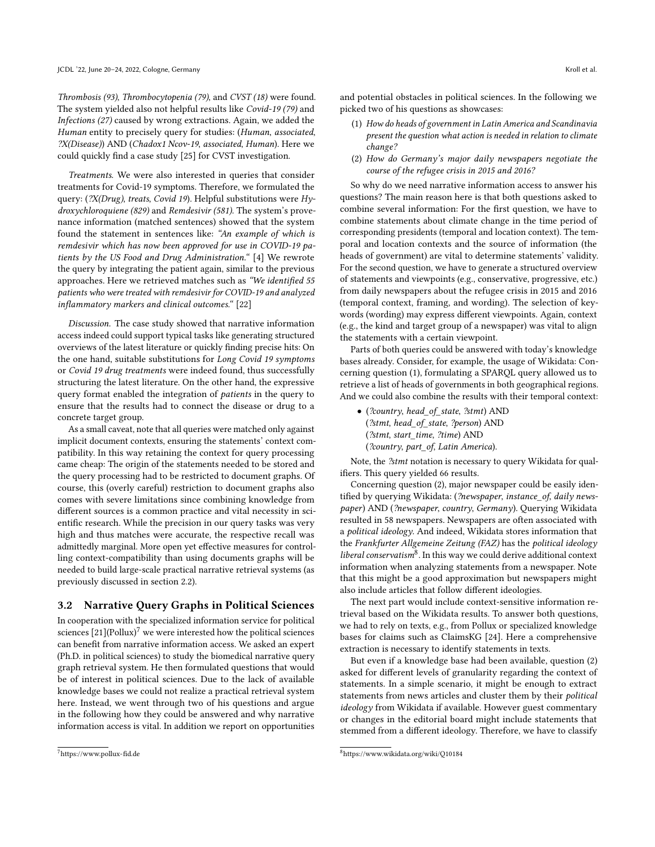Thrombosis (93), Thrombocytopenia (79), and CVST (18) were found. The system yielded also not helpful results like Covid-19 (79) and Infections (27) caused by wrong extractions. Again, we added the Human entity to precisely query for studies: (Human, associated, ?X(Disease)) AND (Chadox1 Ncov-19, associated, Human). Here we could quickly find a case study [\[25\]](#page-7-23) for CVST investigation.

Treatments. We were also interested in queries that consider treatments for Covid-19 symptoms. Therefore, we formulated the query: (?X(Drug), treats, Covid 19). Helpful substitutions were Hydroxychloroquiene (829) and Remdesivir (581). The system's provenance information (matched sentences) showed that the system found the statement in sentences like: "An example of which is remdesivir which has now been approved for use in COVID-19 patients by the US Food and Drug Administration." [\[4\]](#page-7-24) We rewrote the query by integrating the patient again, similar to the previous approaches. Here we retrieved matches such as "We identified 55 patients who were treated with remdesivir for COVID-19 and analyzed inflammatory markers and clinical outcomes." [\[22\]](#page-7-25)

Discussion. The case study showed that narrative information access indeed could support typical tasks like generating structured overviews of the latest literature or quickly finding precise hits: On the one hand, suitable substitutions for Long Covid 19 symptoms or Covid 19 drug treatments were indeed found, thus successfully structuring the latest literature. On the other hand, the expressive query format enabled the integration of patients in the query to ensure that the results had to connect the disease or drug to a concrete target group.

As a small caveat, note that all queries were matched only against implicit document contexts, ensuring the statements' context compatibility. In this way retaining the context for query processing came cheap: The origin of the statements needed to be stored and the query processing had to be restricted to document graphs. Of course, this (overly careful) restriction to document graphs also comes with severe limitations since combining knowledge from different sources is a common practice and vital necessity in scientific research. While the precision in our query tasks was very high and thus matches were accurate, the respective recall was admittedly marginal. More open yet effective measures for controlling context-compatibility than using documents graphs will be needed to build large-scale practical narrative retrieval systems (as previously discussed in section 2.2).

## 3.2 Narrative Query Graphs in Political Sciences

In cooperation with the specialized information service for political sciences  $[21]$ (Pollux)<sup>[7](#page-5-0)</sup> we were interested how the political sciences can benefit from narrative information access. We asked an expert (Ph.D. in political sciences) to study the biomedical narrative query graph retrieval system. He then formulated questions that would be of interest in political sciences. Due to the lack of available knowledge bases we could not realize a practical retrieval system here. Instead, we went through two of his questions and argue in the following how they could be answered and why narrative information access is vital. In addition we report on opportunities and potential obstacles in political sciences. In the following we picked two of his questions as showcases:

- (1) How do heads of government in Latin America and Scandinavia present the question what action is needed in relation to climate change?
- (2) How do Germany's major daily newspapers negotiate the course of the refugee crisis in 2015 and 2016?

So why do we need narrative information access to answer his questions? The main reason here is that both questions asked to combine several information: For the first question, we have to combine statements about climate change in the time period of corresponding presidents (temporal and location context). The temporal and location contexts and the source of information (the heads of government) are vital to determine statements' validity. For the second question, we have to generate a structured overview of statements and viewpoints (e.g., conservative, progressive, etc.) from daily newspapers about the refugee crisis in 2015 and 2016 (temporal context, framing, and wording). The selection of keywords (wording) may express different viewpoints. Again, context (e.g., the kind and target group of a newspaper) was vital to align the statements with a certain viewpoint.

Parts of both queries could be answered with today's knowledge bases already. Consider, for example, the usage of Wikidata: Concerning question (1), formulating a SPARQL query allowed us to retrieve a list of heads of governments in both geographical regions. And we could also combine the results with their temporal context:

• (?country, head\_of\_state, ?stmt) AND (?stmt, head\_of\_state, ?person) AND (?stmt, start\_time, ?time) AND (?country, part\_of, Latin America).

Note, the ?stmt notation is necessary to query Wikidata for qualifiers. This query yielded 66 results.

Concerning question (2), major newspaper could be easily identified by querying Wikidata: (?newspaper, instance of, daily newspaper) AND (?newspaper, country, Germany). Querying Wikidata resulted in 58 newspapers. Newspapers are often associated with a political ideology. And indeed, Wikidata stores information that the Frankfurter Allgemeine Zeitung (FAZ) has the political ideology liberal conservatism<sup>[8](#page-5-1)</sup>. In this way we could derive additional context information when analyzing statements from a newspaper. Note that this might be a good approximation but newspapers might also include articles that follow different ideologies.

The next part would include context-sensitive information retrieval based on the Wikidata results. To answer both questions, we had to rely on texts, e.g., from Pollux or specialized knowledge bases for claims such as ClaimsKG [\[24\]](#page-7-27). Here a comprehensive extraction is necessary to identify statements in texts.

But even if a knowledge base had been available, question (2) asked for different levels of granularity regarding the context of statements. In a simple scenario, it might be enough to extract statements from news articles and cluster them by their political ideology from Wikidata if available. However guest commentary or changes in the editorial board might include statements that stemmed from a different ideology. Therefore, we have to classify

<span id="page-5-0"></span><sup>7</sup><https://www.pollux-fid.de>

<span id="page-5-1"></span><sup>8</sup><https://www.wikidata.org/wiki/Q10184>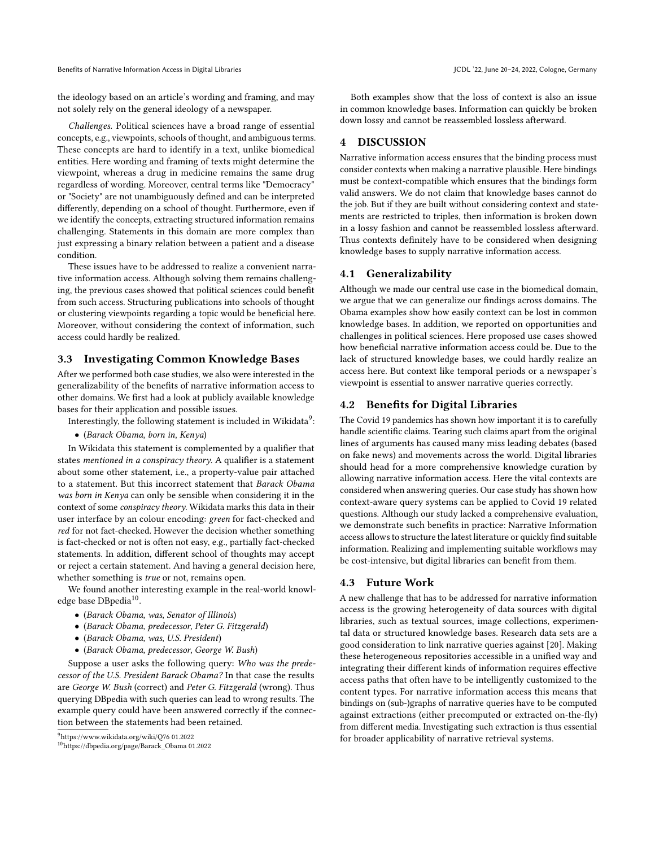the ideology based on an article's wording and framing, and may not solely rely on the general ideology of a newspaper.

Challenges. Political sciences have a broad range of essential concepts, e.g., viewpoints, schools of thought, and ambiguous terms. These concepts are hard to identify in a text, unlike biomedical entities. Here wording and framing of texts might determine the viewpoint, whereas a drug in medicine remains the same drug regardless of wording. Moreover, central terms like "Democracy" or "Society" are not unambiguously defined and can be interpreted differently, depending on a school of thought. Furthermore, even if we identify the concepts, extracting structured information remains challenging. Statements in this domain are more complex than just expressing a binary relation between a patient and a disease condition.

These issues have to be addressed to realize a convenient narrative information access. Although solving them remains challenging, the previous cases showed that political sciences could benefit from such access. Structuring publications into schools of thought or clustering viewpoints regarding a topic would be beneficial here. Moreover, without considering the context of information, such access could hardly be realized.

## 3.3 Investigating Common Knowledge Bases

After we performed both case studies, we also were interested in the generalizability of the benefits of narrative information access to other domains. We first had a look at publicly available knowledge bases for their application and possible issues.

- Interestingly, the following statement is included in Wikidata $^9\! :$  $^9\! :$  $^9\! :$
- (Barack Obama, born in, Kenya)

In Wikidata this statement is complemented by a qualifier that states mentioned in a conspiracy theory. A qualifier is a statement about some other statement, i.e., a property-value pair attached to a statement. But this incorrect statement that Barack Obama was born in Kenya can only be sensible when considering it in the context of some conspiracy theory. Wikidata marks this data in their user interface by an colour encoding: green for fact-checked and red for not fact-checked. However the decision whether something is fact-checked or not is often not easy, e.g., partially fact-checked statements. In addition, different school of thoughts may accept or reject a certain statement. And having a general decision here, whether something is *true* or not, remains open.

We found another interesting example in the real-world knowl-edge base DBpedia<sup>[10](#page-6-1)</sup>.

- (Barack Obama, was, Senator of Illinois)
- (Barack Obama, predecessor, Peter G. Fitzgerald)
- (Barack Obama, was, U.S. President)
- (Barack Obama, predecessor, George W. Bush)

Suppose a user asks the following query: Who was the predecessor of the U.S. President Barack Obama? In that case the results are George W. Bush (correct) and Peter G. Fitzgerald (wrong). Thus querying DBpedia with such queries can lead to wrong results. The example query could have been answered correctly if the connection between the statements had been retained.

Both examples show that the loss of context is also an issue in common knowledge bases. Information can quickly be broken down lossy and cannot be reassembled lossless afterward.

#### 4 DISCUSSION

Narrative information access ensures that the binding process must consider contexts when making a narrative plausible. Here bindings must be context-compatible which ensures that the bindings form valid answers. We do not claim that knowledge bases cannot do the job. But if they are built without considering context and statements are restricted to triples, then information is broken down in a lossy fashion and cannot be reassembled lossless afterward. Thus contexts definitely have to be considered when designing knowledge bases to supply narrative information access.

#### 4.1 Generalizability

Although we made our central use case in the biomedical domain, we argue that we can generalize our findings across domains. The Obama examples show how easily context can be lost in common knowledge bases. In addition, we reported on opportunities and challenges in political sciences. Here proposed use cases showed how beneficial narrative information access could be. Due to the lack of structured knowledge bases, we could hardly realize an access here. But context like temporal periods or a newspaper's viewpoint is essential to answer narrative queries correctly.

## 4.2 Benefits for Digital Libraries

The Covid 19 pandemics has shown how important it is to carefully handle scientific claims. Tearing such claims apart from the original lines of arguments has caused many miss leading debates (based on fake news) and movements across the world. Digital libraries should head for a more comprehensive knowledge curation by allowing narrative information access. Here the vital contexts are considered when answering queries. Our case study has shown how context-aware query systems can be applied to Covid 19 related questions. Although our study lacked a comprehensive evaluation, we demonstrate such benefits in practice: Narrative Information access allows to structure the latest literature or quickly find suitable information. Realizing and implementing suitable workflows may be cost-intensive, but digital libraries can benefit from them.

#### 4.3 Future Work

A new challenge that has to be addressed for narrative information access is the growing heterogeneity of data sources with digital libraries, such as textual sources, image collections, experimental data or structured knowledge bases. Research data sets are a good consideration to link narrative queries against [\[20\]](#page-7-28). Making these heterogeneous repositories accessible in a unified way and integrating their different kinds of information requires effective access paths that often have to be intelligently customized to the content types. For narrative information access this means that bindings on (sub-)graphs of narrative queries have to be computed against extractions (either precomputed or extracted on-the-fly) from different media. Investigating such extraction is thus essential for broader applicability of narrative retrieval systems.

<span id="page-6-0"></span><sup>9</sup><https://www.wikidata.org/wiki/Q76> 01.2022

<span id="page-6-1"></span><sup>10</sup>[https://dbpedia.org/page/Barack\\_Obama](https://dbpedia.org/page/Barack_Obama) 01.2022